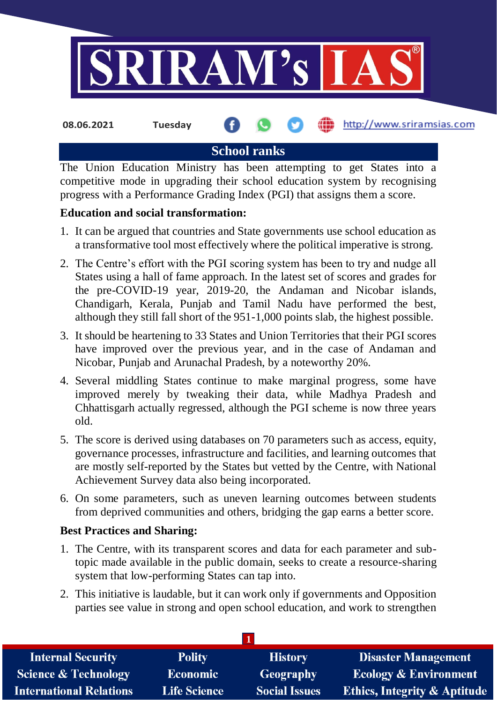

**School ranks**

The Union Education Ministry has been attempting to get States into a competitive mode in upgrading their school education system by recognising progress with a Performance Grading Index (PGI) that assigns them a score.

# **Education and social transformation:**

- 1. It can be argued that countries and State governments use school education as a transformative tool most effectively where the political imperative is strong.
- 2. The Centre's effort with the PGI scoring system has been to try and nudge all States using a hall of fame approach. In the latest set of scores and grades for the pre-COVID-19 year, 2019-20, the Andaman and Nicobar islands, Chandigarh, Kerala, Punjab and Tamil Nadu have performed the best, although they still fall short of the 951-1,000 points slab, the highest possible.
- 3. It should be heartening to 33 States and Union Territories that their PGI scores have improved over the previous year, and in the case of Andaman and Nicobar, Punjab and Arunachal Pradesh, by a noteworthy 20%.
- 4. Several middling States continue to make marginal progress, some have improved merely by tweaking their data, while Madhya Pradesh and Chhattisgarh actually regressed, although the PGI scheme is now three years old.
- 5. The score is derived using databases on 70 parameters such as access, equity, governance processes, infrastructure and facilities, and learning outcomes that are mostly self-reported by the States but vetted by the Centre, with National Achievement Survey data also being incorporated.
- 6. On some parameters, such as uneven learning outcomes between students from deprived communities and others, bridging the gap earns a better score.

### **Best Practices and Sharing:**

- 1. The Centre, with its transparent scores and data for each parameter and subtopic made available in the public domain, seeks to create a resource-sharing system that low-performing States can tap into.
- 2. This initiative is laudable, but it can work only if governments and Opposition parties see value in strong and open school education, and work to strengthen

| <b>Internal Security</b>        | <b>Polity</b>       | <b>History</b>       | <b>Disaster Management</b>              |  |  |
|---------------------------------|---------------------|----------------------|-----------------------------------------|--|--|
| <b>Science &amp; Technology</b> | <b>Economic</b>     | Geography            | <b>Ecology &amp; Environment</b>        |  |  |
| <b>International Relations</b>  | <b>Life Science</b> | <b>Social Issues</b> | <b>Ethics, Integrity &amp; Aptitude</b> |  |  |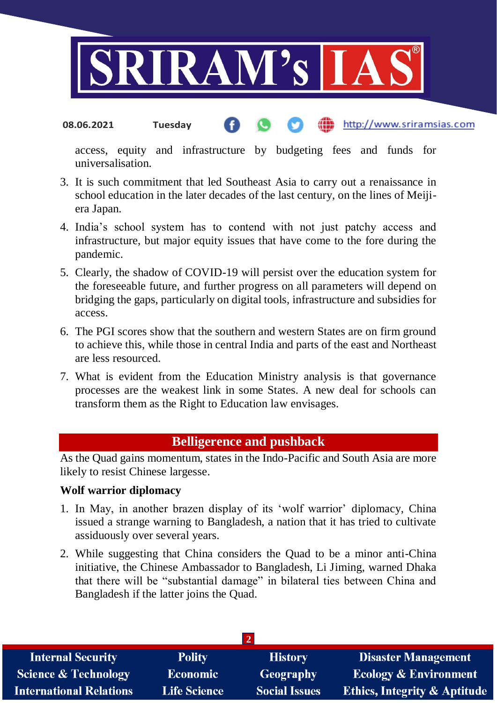

#### http://www.sriramsias.com **08.06.2021 Tuesday**

access, equity and infrastructure by budgeting fees and funds for universalisation.

- 3. It is such commitment that led Southeast Asia to carry out a renaissance in school education in the later decades of the last century, on the lines of Meijiera Japan.
- 4. India's school system has to contend with not just patchy access and infrastructure, but major equity issues that have come to the fore during the pandemic.
- 5. Clearly, the shadow of COVID-19 will persist over the education system for the foreseeable future, and further progress on all parameters will depend on bridging the gaps, particularly on digital tools, infrastructure and subsidies for access.
- 6. The PGI scores show that the southern and western States are on firm ground to achieve this, while those in central India and parts of the east and Northeast are less resourced.
- 7. What is evident from the Education Ministry analysis is that governance processes are the weakest link in some States. A new deal for schools can transform them as the Right to Education law envisages.

# **Belligerence and pushback**

As the Quad gains momentum, states in the Indo-Pacific and South Asia are more likely to resist Chinese largesse.

#### **Wolf warrior diplomacy**

- 1. In May, in another brazen display of its 'wolf warrior' diplomacy, China issued a strange warning to Bangladesh, a nation that it has tried to cultivate assiduously over several years.
- 2. While suggesting that China considers the Quad to be a minor anti-China initiative, the Chinese Ambassador to Bangladesh, Li Jiming, warned Dhaka that there will be "substantial damage" in bilateral ties between China and Bangladesh if the latter joins the Quad.

| <b>Internal Security</b>        | <b>Polity</b>       | <b>History</b>       | Disaster Management                     |  |  |  |
|---------------------------------|---------------------|----------------------|-----------------------------------------|--|--|--|
| <b>Science &amp; Technology</b> | <b>Economic</b>     | <b>Geography</b>     | <b>Ecology &amp; Environment</b>        |  |  |  |
| <b>International Relations</b>  | <b>Life Science</b> | <b>Social Issues</b> | <b>Ethics, Integrity &amp; Aptitude</b> |  |  |  |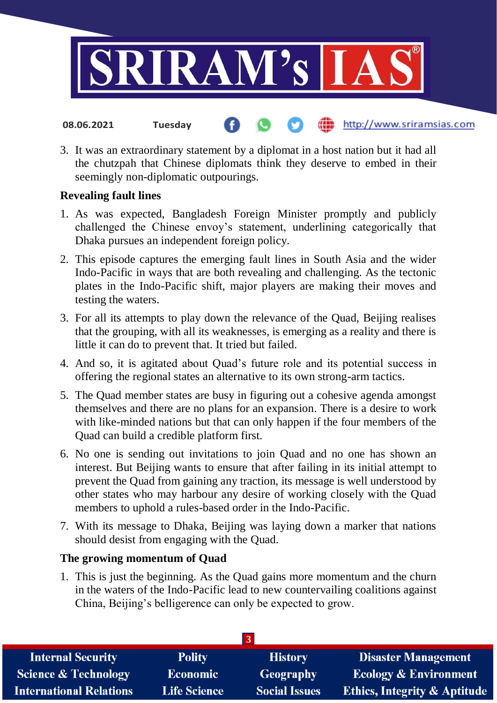

3. It was an extraordinary statement by a diplomat in a host nation but it had all the chutzpah that Chinese diplomats think they deserve to embed in their seemingly non-diplomatic outpourings.

http://www.sriramsias.com

## **Revealing fault lines**

**08.06.2021 Tuesday**

- 1. As was expected, Bangladesh Foreign Minister promptly and publicly challenged the Chinese envoy's statement, underlining categorically that Dhaka pursues an independent foreign policy.
- 2. This episode captures the emerging fault lines in South Asia and the wider Indo-Pacific in ways that are both revealing and challenging. As the tectonic plates in the Indo-Pacific shift, major players are making their moves and testing the waters.
- 3. For all its attempts to play down the relevance of the Quad, Beijing realises that the grouping, with all its weaknesses, is emerging as a reality and there is little it can do to prevent that. It tried but failed.
- 4. And so, it is agitated about Quad's future role and its potential success in offering the regional states an alternative to its own strong-arm tactics.
- 5. The Quad member states are busy in figuring out a cohesive agenda amongst themselves and there are no plans for an expansion. There is a desire to work with like-minded nations but that can only happen if the four members of the Quad can build a credible platform first.
- 6. No one is sending out invitations to join Quad and no one has shown an interest. But Beijing wants to ensure that after failing in its initial attempt to prevent the Quad from gaining any traction, its message is well understood by other states who may harbour any desire of working closely with the Quad members to uphold a rules-based order in the Indo-Pacific.
- 7. With its message to Dhaka, Beijing was laying down a marker that nations should desist from engaging with the Quad.

### **The growing momentum of Quad**

1. This is just the beginning. As the Quad gains more momentum and the churn in the waters of the Indo-Pacific lead to new countervailing coalitions against China, Beijing's belligerence can only be expected to grow.

| <b>Internal Security</b>        | <b>Polity</b>       | <b>History</b>       | <b>Disaster Management</b>              |  |  |
|---------------------------------|---------------------|----------------------|-----------------------------------------|--|--|
| <b>Science &amp; Technology</b> | <b>Economic</b>     | Geography            | <b>Ecology &amp; Environment</b>        |  |  |
| <b>International Relations</b>  | <b>Life Science</b> | <b>Social Issues</b> | <b>Ethics, Integrity &amp; Aptitude</b> |  |  |